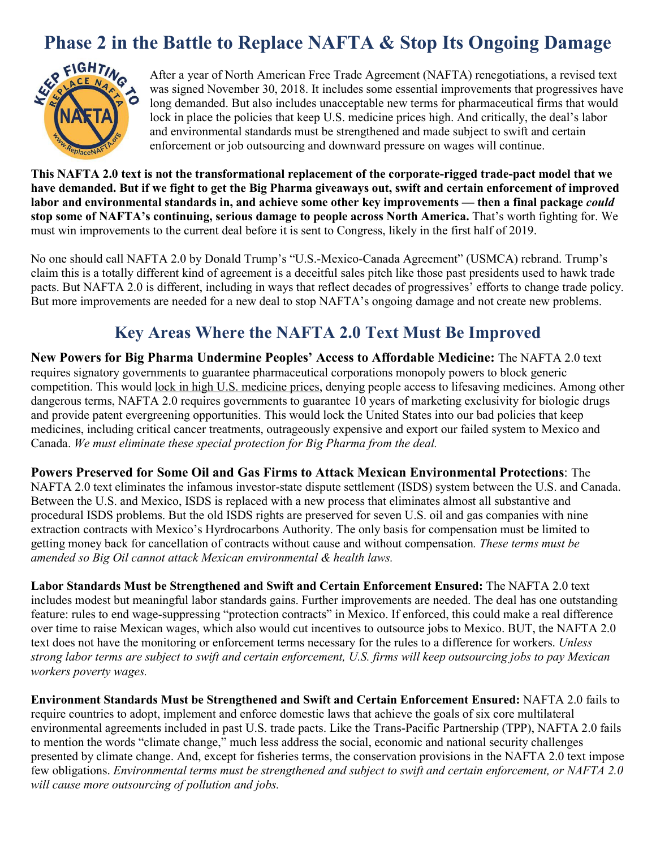

**Phase 2 in the Battle to Replace NAFTA & Stop Its Ongoing Damage**<br> **PIGHTIM**<br>
After a year of North American Free Trade Agreement (NAFTA) renegotiations, a revised text<br>
Was signed November 30, 2018. It includes some esse After a year of North American Free Trade Agreement (NAFTA) renegotiations, a revised text was signed November 30, 2018. It includes some essential improvements that progressives have long demanded. But also includes unacceptable new terms for pharmaceutical firms that would lock in place the policies that keep U.S. medicine prices high. And critically, the deal's labor and environmental standards must be strengthened and made subject to swift and certain enforcement or job outsourcing and downward pressure on wages will continue.

**This NAFTA 2.0 text is not the transformational replacement of the corporate-rigged trade-pact model that we have demanded. But if we fight to get the Big Pharma giveaways out, swift and certain enforcement of improved labor and environmental standards in, and achieve some other key improvements — then a final package** *could*  **stop some of NAFTA's continuing, serious damage to people across North America.** That's worth fighting for. We must win improvements to the current deal before it is sent to Congress, likely in the first half of 2019.

No one should call NAFTA 2.0 by Donald Trump's "U.S.-Mexico-Canada Agreement" (USMCA) rebrand. Trump's claim this is a totally different kind of agreement is a deceitful sales pitch like those past presidents used to hawk trade pacts. But NAFTA 2.0 is different, including in ways that reflect decades of progressives' efforts to change trade policy. But more improvements are needed for a new deal to stop NAFTA's ongoing damage and not create new problems.

## **Key Areas Where the NAFTA 2.0 Text Must Be Improved**

**New Powers for Big Pharma Undermine Peoples' Access to Affordable Medicine:** The NAFTA 2.0 text requires signatory governments to guarantee pharmaceutical corporations monopoly powers to block generic competition. This would lock in high U.S. medicine prices, denying people access to lifesaving medicines. Among other dangerous terms, NAFTA 2.0 requires governments to guarantee 10 years of marketing exclusivity for biologic drugs and provide patent evergreening opportunities. This would lock the United States into our bad policies that keep medicines, including critical cancer treatments, outrageously expensive and export our failed system to Mexico and Canada. *We must eliminate these special protection for Big Pharma from the deal.* 

**Powers Preserved for Some Oil and Gas Firms to Attack Mexican Environmental Protections**: The NAFTA 2.0 text eliminates the infamous investor-state dispute settlement (ISDS) system between the U.S. and Canada. Between the U.S. and Mexico, ISDS is replaced with a new process that eliminates almost all substantive and procedural ISDS problems. But the old ISDS rights are preserved for seven U.S. oil and gas companies with nine extraction contracts with Mexico's Hyrdrocarbons Authority. The only basis for compensation must be limited to getting money back for cancellation of contracts without cause and without compensation*. These terms must be amended so Big Oil cannot attack Mexican environmental & health laws.* 

**Labor Standards Must be Strengthened and Swift and Certain Enforcement Ensured:** The NAFTA 2.0 text includes modest but meaningful labor standards gains. Further improvements are needed. The deal has one outstanding feature: rules to end wage-suppressing "protection contracts" in Mexico. If enforced, this could make a real difference over time to raise Mexican wages, which also would cut incentives to outsource jobs to Mexico. BUT, the NAFTA 2.0 text does not have the monitoring or enforcement terms necessary for the rules to a difference for workers. *Unless strong labor terms are subject to swift and certain enforcement, U.S. firms will keep outsourcing jobs to pay Mexican workers poverty wages.* 

**Environment Standards Must be Strengthened and Swift and Certain Enforcement Ensured:** NAFTA 2.0 fails to require countries to adopt, implement and enforce domestic laws that achieve the goals of six core multilateral environmental agreements included in past U.S. trade pacts. Like the Trans-Pacific Partnership (TPP), NAFTA 2.0 fails to mention the words "climate change," much less address the social, economic and national security challenges presented by climate change. And, except for fisheries terms, the conservation provisions in the NAFTA 2.0 text impose few obligations. *Environmental terms must be strengthened and subject to swift and certain enforcement, or NAFTA 2.0 will cause more outsourcing of pollution and jobs.*